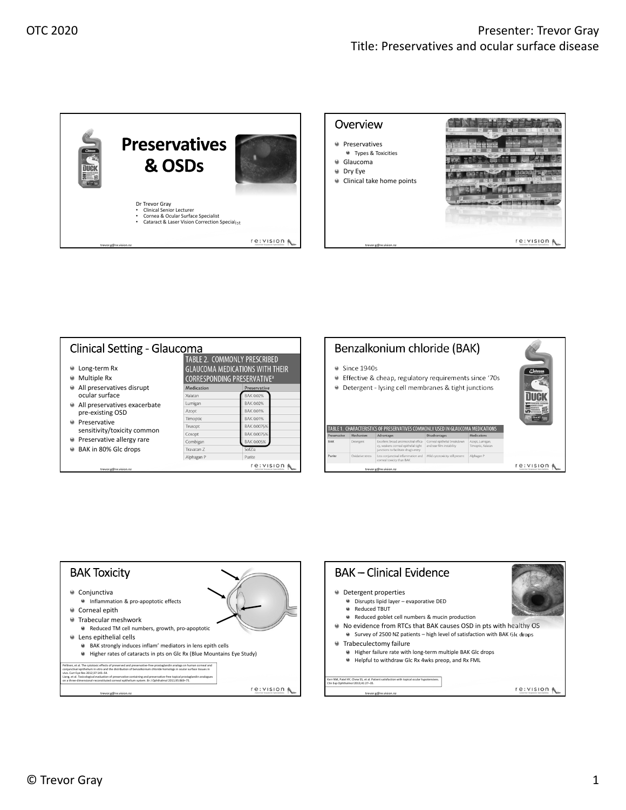



| Long-term Rx<br>Multiple Rx                                                                               | TABLE 2. COMMONLY PRESCRIBED<br><b>GLAUCOMA MEDICATIONS WITH THEIR</b><br><b>CORRESPONDING PRESERVATIVE</b> <sup>a</sup> |                  |  |
|-----------------------------------------------------------------------------------------------------------|--------------------------------------------------------------------------------------------------------------------------|------------------|--|
| All preservatives disrupt<br>ocular surface                                                               | Medication                                                                                                               | Preservative     |  |
|                                                                                                           | Xalatan                                                                                                                  | <b>BAK 0.02%</b> |  |
| All preservatives exacerbate<br>o<br>pre-existing OSD<br>Preservative<br>a<br>sensitivity/toxicity common | Lumigan                                                                                                                  | <b>BAK 0.02%</b> |  |
|                                                                                                           | Azopt                                                                                                                    | <b>BAK 0.01%</b> |  |
|                                                                                                           | Timoptic                                                                                                                 | <b>BAK 0.01%</b> |  |
|                                                                                                           | Trusopt                                                                                                                  | BAK 0.0075%      |  |
|                                                                                                           | Cosopt                                                                                                                   | BAK 0.0075%      |  |
| Preservative allergy rare                                                                                 | Combigan                                                                                                                 | BAK 0.005%       |  |
| BAK in 80% Glc drops                                                                                      | Travatan <sub>Z</sub>                                                                                                    | SofZia           |  |
|                                                                                                           | Alphagan P                                                                                                               | Purite           |  |

## Benzalkonium chloride (BAK) Since 1940s Effective & cheap, regulatory requirements since '70s Detergent ‐ lysing cell membranes & tight junctions **DUCK** TABLE 1. CHARACTERISTICS OF PRESERVATIVES COMMONLY USED IN GLAUCOMA MEDICATIONS re: vision & trevor.g@re.vision.nz